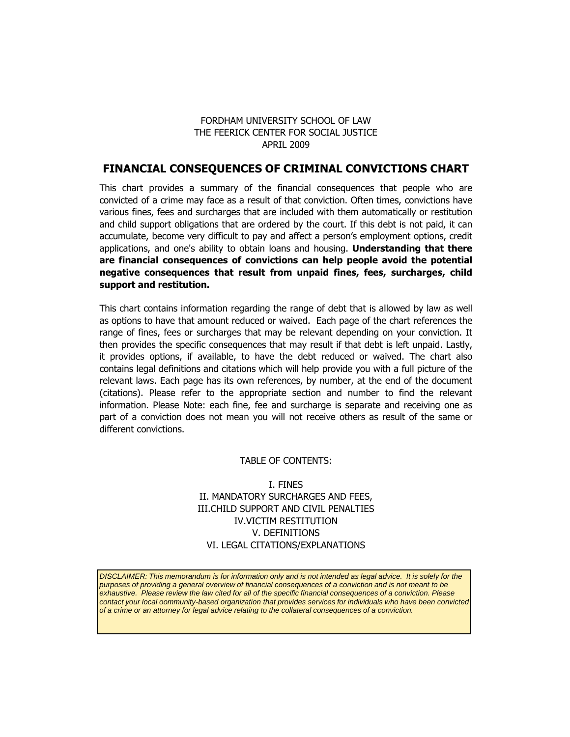## FORDHAM UNIVERSITY SCHOOL OF LAW THE FEERICK CENTER FOR SOCIAL JUSTICE APRIL 2009

# **FINANCIAL CONSEQUENCES OF CRIMINAL CONVICTIONS CHART**

This chart provides a summary of the financial consequences that people who are convicted of a crime may face as a result of that conviction. Often times, convictions have various fines, fees and surcharges that are included with them automatically or restitution and child support obligations that are ordered by the court. If this debt is not paid, it can accumulate, become very difficult to pay and affect a person's employment options, credit applications, and one's ability to obtain loans and housing. **Understanding that there are financial consequences of convictions can help people avoid the potential negative consequences that result from unpaid fines, fees, surcharges, child support and restitution.**

This chart contains information regarding the range of debt that is allowed by law as well as options to have that amount reduced or waived. Each page of the chart references the range of fines, fees or surcharges that may be relevant depending on your conviction. It then provides the specific consequences that may result if that debt is left unpaid. Lastly, it provides options, if available, to have the debt reduced or waived. The chart also contains legal definitions and citations which will help provide you with a full picture of the relevant laws. Each page has its own references, by number, at the end of the document (citations). Please refer to the appropriate section and number to find the relevant information. Please Note: each fine, fee and surcharge is separate and receiving one as part of a conviction does not mean you will not receive others as result of the same or different convictions.

## TABLE OF CONTENTS:

I. FINES II. MANDATORY SURCHARGES AND FEES, III.CHILD SUPPORT AND CIVIL PENALTIES IV.VICTIM RESTITUTION V. DEFINITIONS VI. LEGAL CITATIONS/EXPLANATIONS

*DISCLAIMER: This memorandum is for information only and is not intended as legal advice. It is solely for the purposes of providing a general overview of financial consequences of a conviction and is not meant to be exhaustive. Please review the law cited for all of the specific financial consequences of a conviction. Please contact your local oommunity-based organization that provides services for individuals who have been convicted of a crime or an attorney for legal advice relating to the collateral consequences of a conviction.*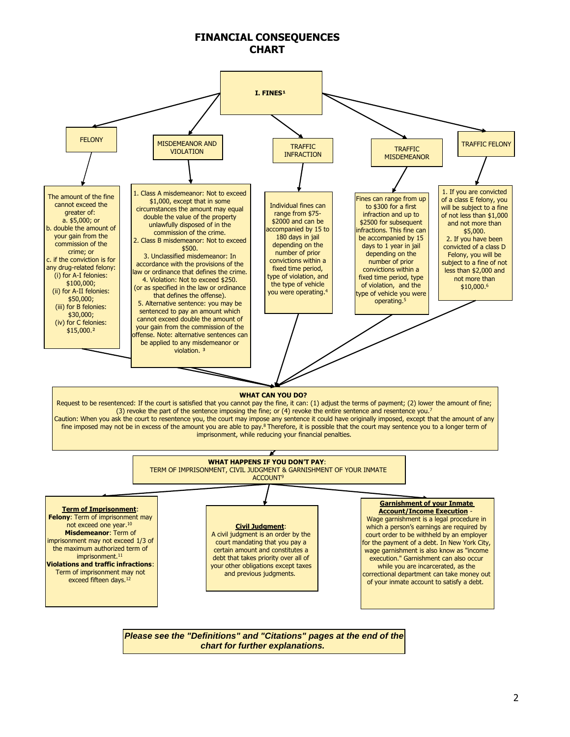## **FINANCIAL CONSEQUENCES CHART**

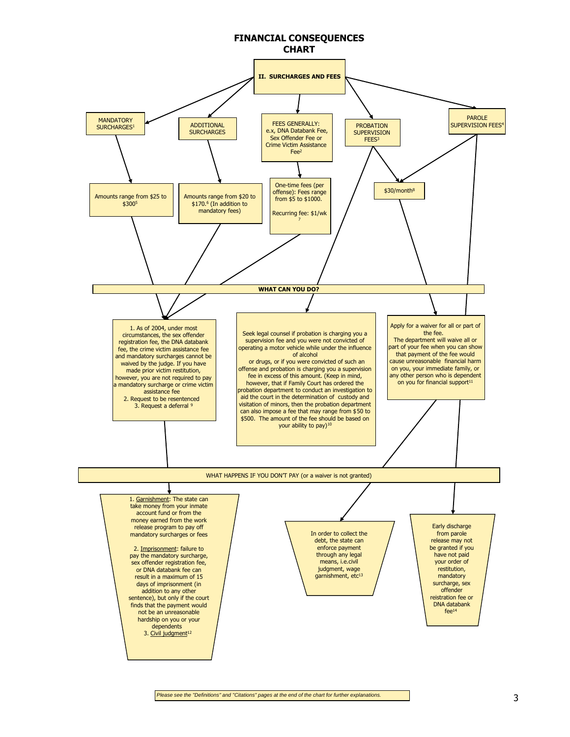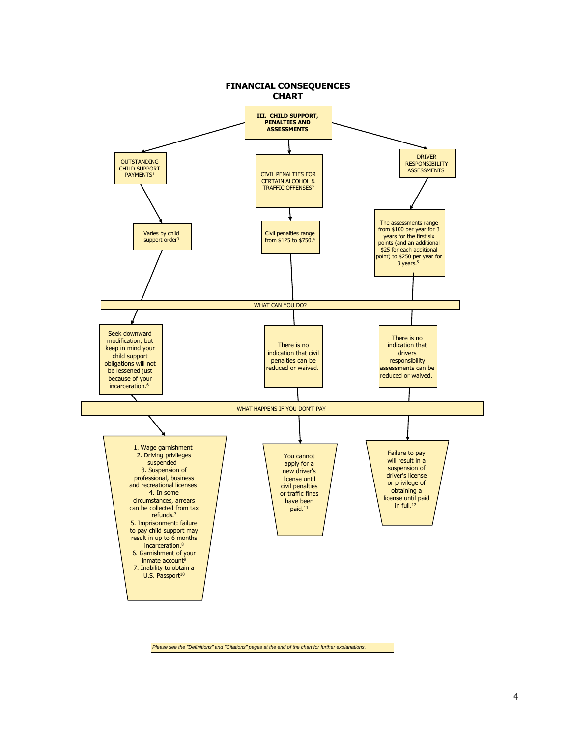

*Please see the "Definitions" and "Citations" pages at the end of the chart for further explanations.*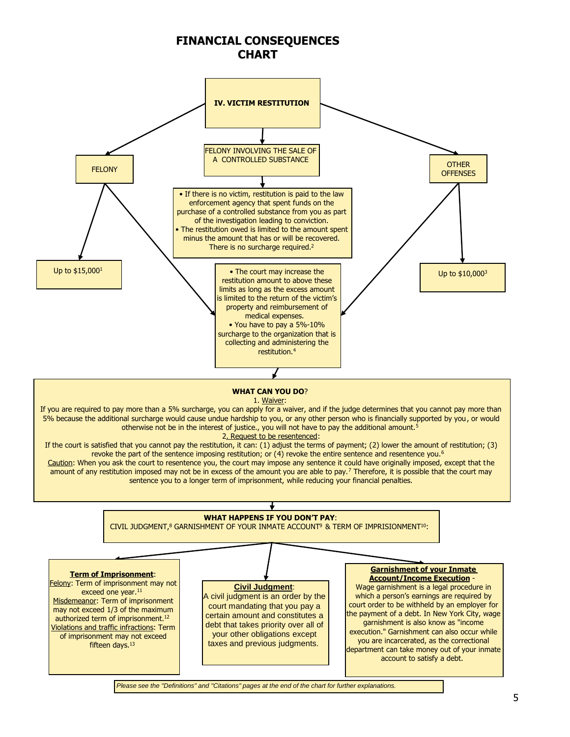# **FINANCIAL CONSEQUENCES CHART**



*Please see the "Definitions" and "Citations" pages at the end of the chart for further explanations.*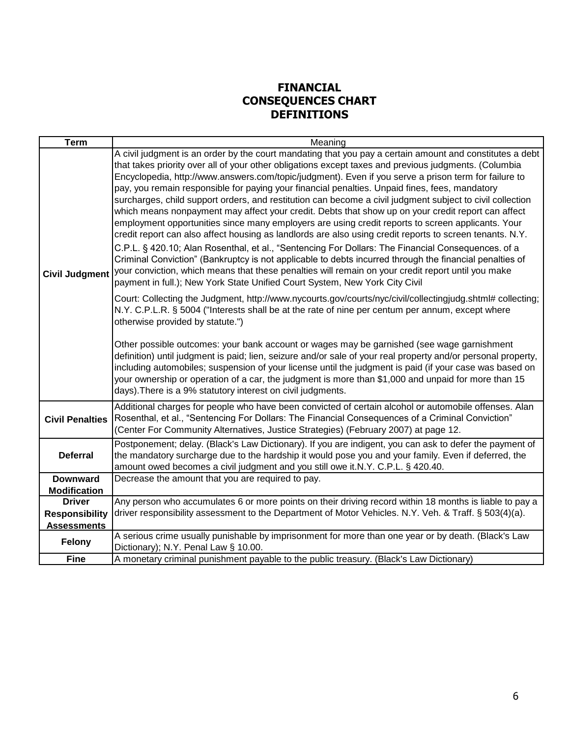# **FINANCIAL CONSEQUENCES CHART DEFINITIONS**

| <b>Term</b>            | Meaning                                                                                                                                                                                                                                                                                                                                                                                                                                                                                                                                                                                                                                                                                                                                                                                                                                                                                                                                                                                                                                                                                                                                                                                                                                                               |
|------------------------|-----------------------------------------------------------------------------------------------------------------------------------------------------------------------------------------------------------------------------------------------------------------------------------------------------------------------------------------------------------------------------------------------------------------------------------------------------------------------------------------------------------------------------------------------------------------------------------------------------------------------------------------------------------------------------------------------------------------------------------------------------------------------------------------------------------------------------------------------------------------------------------------------------------------------------------------------------------------------------------------------------------------------------------------------------------------------------------------------------------------------------------------------------------------------------------------------------------------------------------------------------------------------|
| <b>Civil Judgment</b>  | A civil judgment is an order by the court mandating that you pay a certain amount and constitutes a debt<br>that takes priority over all of your other obligations except taxes and previous judgments. (Columbia<br>Encyclopedia, http://www.answers.com/topic/judgment). Even if you serve a prison term for failure to<br>pay, you remain responsible for paying your financial penalties. Unpaid fines, fees, mandatory<br>surcharges, child support orders, and restitution can become a civil judgment subject to civil collection<br>which means nonpayment may affect your credit. Debts that show up on your credit report can affect<br>employment opportunities since many employers are using credit reports to screen applicants. Your<br>credit report can also affect housing as landlords are also using credit reports to screen tenants. N.Y.<br>C.P.L. § 420.10; Alan Rosenthal, et al., "Sentencing For Dollars: The Financial Consequences. of a<br>Criminal Conviction" (Bankruptcy is not applicable to debts incurred through the financial penalties of<br>your conviction, which means that these penalties will remain on your credit report until you make<br>payment in full.); New York State Unified Court System, New York City Civil |
|                        | Court: Collecting the Judgment, http://www.nycourts.gov/courts/nyc/civil/collectingjudg.shtml# collecting;<br>N.Y. C.P.L.R. § 5004 ("Interests shall be at the rate of nine per centum per annum, except where<br>otherwise provided by statute.")<br>Other possible outcomes: your bank account or wages may be garnished (see wage garnishment<br>definition) until judgment is paid; lien, seizure and/or sale of your real property and/or personal property,<br>including automobiles; suspension of your license until the judgment is paid (if your case was based on<br>your ownership or operation of a car, the judgment is more than \$1,000 and unpaid for more than 15<br>days). There is a 9% statutory interest on civil judgments.                                                                                                                                                                                                                                                                                                                                                                                                                                                                                                                    |
| <b>Civil Penalties</b> | Additional charges for people who have been convicted of certain alcohol or automobile offenses. Alan<br>Rosenthal, et al., "Sentencing For Dollars: The Financial Consequences of a Criminal Conviction"<br>(Center For Community Alternatives, Justice Strategies) (February 2007) at page 12.                                                                                                                                                                                                                                                                                                                                                                                                                                                                                                                                                                                                                                                                                                                                                                                                                                                                                                                                                                      |
| <b>Deferral</b>        | Postponement; delay. (Black's Law Dictionary). If you are indigent, you can ask to defer the payment of<br>the mandatory surcharge due to the hardship it would pose you and your family. Even if deferred, the<br>amount owed becomes a civil judgment and you still owe it.N.Y. C.P.L. § 420.40.                                                                                                                                                                                                                                                                                                                                                                                                                                                                                                                                                                                                                                                                                                                                                                                                                                                                                                                                                                    |
| <b>Downward</b>        | Decrease the amount that you are required to pay.                                                                                                                                                                                                                                                                                                                                                                                                                                                                                                                                                                                                                                                                                                                                                                                                                                                                                                                                                                                                                                                                                                                                                                                                                     |
| <b>Modification</b>    |                                                                                                                                                                                                                                                                                                                                                                                                                                                                                                                                                                                                                                                                                                                                                                                                                                                                                                                                                                                                                                                                                                                                                                                                                                                                       |
| <b>Driver</b>          | Any person who accumulates 6 or more points on their driving record within 18 months is liable to pay a                                                                                                                                                                                                                                                                                                                                                                                                                                                                                                                                                                                                                                                                                                                                                                                                                                                                                                                                                                                                                                                                                                                                                               |
| <b>Responsibility</b>  | driver responsibility assessment to the Department of Motor Vehicles. N.Y. Veh. & Traff. § 503(4)(a).                                                                                                                                                                                                                                                                                                                                                                                                                                                                                                                                                                                                                                                                                                                                                                                                                                                                                                                                                                                                                                                                                                                                                                 |
| <b>Assessments</b>     |                                                                                                                                                                                                                                                                                                                                                                                                                                                                                                                                                                                                                                                                                                                                                                                                                                                                                                                                                                                                                                                                                                                                                                                                                                                                       |
| <b>Felony</b>          | A serious crime usually punishable by imprisonment for more than one year or by death. (Black's Law<br>Dictionary); N.Y. Penal Law § 10.00.                                                                                                                                                                                                                                                                                                                                                                                                                                                                                                                                                                                                                                                                                                                                                                                                                                                                                                                                                                                                                                                                                                                           |
| <b>Fine</b>            | A monetary criminal punishment payable to the public treasury. (Black's Law Dictionary)                                                                                                                                                                                                                                                                                                                                                                                                                                                                                                                                                                                                                                                                                                                                                                                                                                                                                                                                                                                                                                                                                                                                                                               |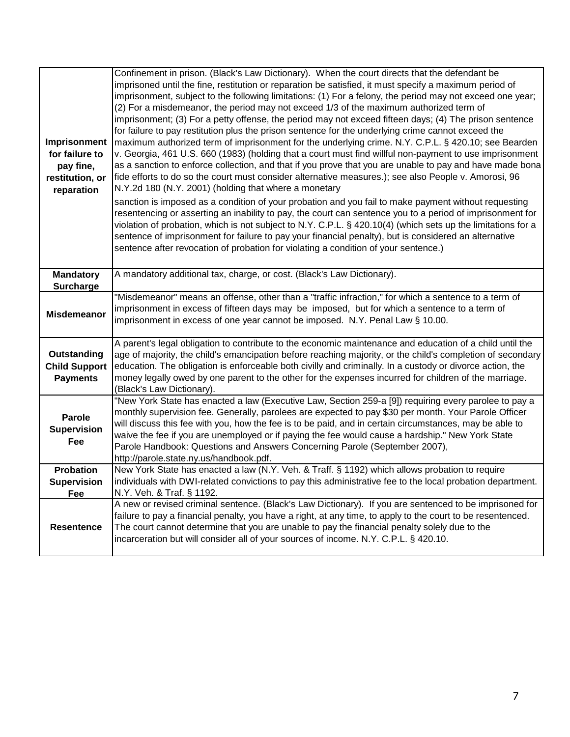| Imprisonment<br>for failure to<br>pay fine,<br>restitution, or<br>reparation | Confinement in prison. (Black's Law Dictionary). When the court directs that the defendant be<br>imprisoned until the fine, restitution or reparation be satisfied, it must specify a maximum period of<br>imprisonment, subject to the following limitations: (1) For a felony, the period may not exceed one year;<br>(2) For a misdemeanor, the period may not exceed 1/3 of the maximum authorized term of<br>imprisonment; (3) For a petty offense, the period may not exceed fifteen days; (4) The prison sentence<br>for failure to pay restitution plus the prison sentence for the underlying crime cannot exceed the<br>maximum authorized term of imprisonment for the underlying crime. N.Y. C.P.L. § 420.10; see Bearden<br>v. Georgia, 461 U.S. 660 (1983) (holding that a court must find willful non-payment to use imprisonment<br>as a sanction to enforce collection, and that if you prove that you are unable to pay and have made bona<br>fide efforts to do so the court must consider alternative measures.); see also People v. Amorosi, 96<br>N.Y.2d 180 (N.Y. 2001) (holding that where a monetary<br>sanction is imposed as a condition of your probation and you fail to make payment without requesting<br>resentencing or asserting an inability to pay, the court can sentence you to a period of imprisonment for<br>violation of probation, which is not subject to N.Y. C.P.L. § 420.10(4) (which sets up the limitations for a<br>sentence of imprisonment for failure to pay your financial penalty), but is considered an alternative<br>sentence after revocation of probation for violating a condition of your sentence.) |
|------------------------------------------------------------------------------|--------------------------------------------------------------------------------------------------------------------------------------------------------------------------------------------------------------------------------------------------------------------------------------------------------------------------------------------------------------------------------------------------------------------------------------------------------------------------------------------------------------------------------------------------------------------------------------------------------------------------------------------------------------------------------------------------------------------------------------------------------------------------------------------------------------------------------------------------------------------------------------------------------------------------------------------------------------------------------------------------------------------------------------------------------------------------------------------------------------------------------------------------------------------------------------------------------------------------------------------------------------------------------------------------------------------------------------------------------------------------------------------------------------------------------------------------------------------------------------------------------------------------------------------------------------------------------------------------------------------------------------------------------------------|
| <b>Mandatory</b><br>Surcharge                                                | A mandatory additional tax, charge, or cost. (Black's Law Dictionary).                                                                                                                                                                                                                                                                                                                                                                                                                                                                                                                                                                                                                                                                                                                                                                                                                                                                                                                                                                                                                                                                                                                                                                                                                                                                                                                                                                                                                                                                                                                                                                                             |
| <b>Misdemeanor</b>                                                           | "Misdemeanor" means an offense, other than a "traffic infraction," for which a sentence to a term of<br>imprisonment in excess of fifteen days may be imposed, but for which a sentence to a term of<br>imprisonment in excess of one year cannot be imposed. N.Y. Penal Law § 10.00.                                                                                                                                                                                                                                                                                                                                                                                                                                                                                                                                                                                                                                                                                                                                                                                                                                                                                                                                                                                                                                                                                                                                                                                                                                                                                                                                                                              |
| Outstanding<br><b>Child Support</b><br><b>Payments</b>                       | A parent's legal obligation to contribute to the economic maintenance and education of a child until the<br>age of majority, the child's emancipation before reaching majority, or the child's completion of secondary<br>education. The obligation is enforceable both civilly and criminally. In a custody or divorce action, the<br>money legally owed by one parent to the other for the expenses incurred for children of the marriage.<br>(Black's Law Dictionary).                                                                                                                                                                                                                                                                                                                                                                                                                                                                                                                                                                                                                                                                                                                                                                                                                                                                                                                                                                                                                                                                                                                                                                                          |
| Parole<br><b>Supervision</b><br>Fee                                          | "New York State has enacted a law (Executive Law, Section 259-a [9]) requiring every parolee to pay a<br>monthly supervision fee. Generally, parolees are expected to pay \$30 per month. Your Parole Officer<br>will discuss this fee with you, how the fee is to be paid, and in certain circumstances, may be able to<br>waive the fee if you are unemployed or if paying the fee would cause a hardship." New York State<br>Parole Handbook: Questions and Answers Concerning Parole (September 2007),<br>http://parole.state.ny.us/handbook.pdf.                                                                                                                                                                                                                                                                                                                                                                                                                                                                                                                                                                                                                                                                                                                                                                                                                                                                                                                                                                                                                                                                                                              |
| <b>Probation</b>                                                             | New York State has enacted a law (N.Y. Veh. & Traff. § 1192) which allows probation to require                                                                                                                                                                                                                                                                                                                                                                                                                                                                                                                                                                                                                                                                                                                                                                                                                                                                                                                                                                                                                                                                                                                                                                                                                                                                                                                                                                                                                                                                                                                                                                     |
| <b>Supervision</b>                                                           | individuals with DWI-related convictions to pay this administrative fee to the local probation department.                                                                                                                                                                                                                                                                                                                                                                                                                                                                                                                                                                                                                                                                                                                                                                                                                                                                                                                                                                                                                                                                                                                                                                                                                                                                                                                                                                                                                                                                                                                                                         |
| Fee                                                                          | N.Y. Veh. & Traf. § 1192.                                                                                                                                                                                                                                                                                                                                                                                                                                                                                                                                                                                                                                                                                                                                                                                                                                                                                                                                                                                                                                                                                                                                                                                                                                                                                                                                                                                                                                                                                                                                                                                                                                          |
| Resentence                                                                   | A new or revised criminal sentence. (Black's Law Dictionary). If you are sentenced to be imprisoned for<br>failure to pay a financial penalty, you have a right, at any time, to apply to the court to be resentenced.<br>The court cannot determine that you are unable to pay the financial penalty solely due to the<br>incarceration but will consider all of your sources of income. N.Y. C.P.L. § 420.10.                                                                                                                                                                                                                                                                                                                                                                                                                                                                                                                                                                                                                                                                                                                                                                                                                                                                                                                                                                                                                                                                                                                                                                                                                                                    |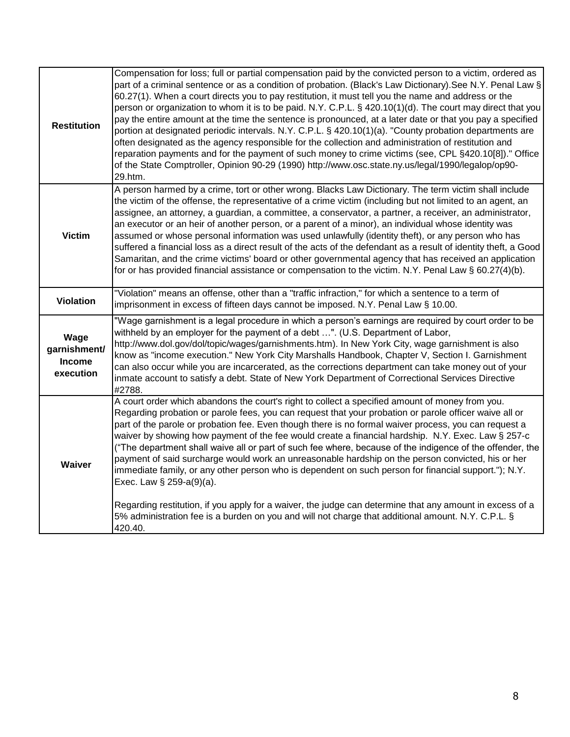| <b>Restitution</b>                                 | Compensation for loss; full or partial compensation paid by the convicted person to a victim, ordered as<br>part of a criminal sentence or as a condition of probation. (Black's Law Dictionary). See N.Y. Penal Law §<br>60.27(1). When a court directs you to pay restitution, it must tell you the name and address or the<br>person or organization to whom it is to be paid. N.Y. C.P.L. § 420.10(1)(d). The court may direct that you<br>pay the entire amount at the time the sentence is pronounced, at a later date or that you pay a specified<br>portion at designated periodic intervals. N.Y. C.P.L. § 420.10(1)(a). "County probation departments are<br>often designated as the agency responsible for the collection and administration of restitution and<br>reparation payments and for the payment of such money to crime victims (see, CPL §420.10[8])." Office<br>of the State Comptroller, Opinion 90-29 (1990) http://www.osc.state.ny.us/legal/1990/legalop/op90-<br>29.htm.        |
|----------------------------------------------------|-------------------------------------------------------------------------------------------------------------------------------------------------------------------------------------------------------------------------------------------------------------------------------------------------------------------------------------------------------------------------------------------------------------------------------------------------------------------------------------------------------------------------------------------------------------------------------------------------------------------------------------------------------------------------------------------------------------------------------------------------------------------------------------------------------------------------------------------------------------------------------------------------------------------------------------------------------------------------------------------------------------|
| <b>Victim</b>                                      | A person harmed by a crime, tort or other wrong. Blacks Law Dictionary. The term victim shall include<br>the victim of the offense, the representative of a crime victim (including but not limited to an agent, an<br>assignee, an attorney, a guardian, a committee, a conservator, a partner, a receiver, an administrator,<br>an executor or an heir of another person, or a parent of a minor), an individual whose identity was<br>assumed or whose personal information was used unlawfully (identity theft), or any person who has<br>suffered a financial loss as a direct result of the acts of the defendant as a result of identity theft, a Good<br>Samaritan, and the crime victims' board or other governmental agency that has received an application<br>for or has provided financial assistance or compensation to the victim. N.Y. Penal Law § 60.27(4)(b).                                                                                                                             |
| <b>Violation</b>                                   | "Violation" means an offense, other than a "traffic infraction," for which a sentence to a term of<br>imprisonment in excess of fifteen days cannot be imposed. N.Y. Penal Law § 10.00.                                                                                                                                                                                                                                                                                                                                                                                                                                                                                                                                                                                                                                                                                                                                                                                                                     |
| Wage<br>garnishment/<br><b>Income</b><br>execution | "Wage garnishment is a legal procedure in which a person's earnings are required by court order to be<br>withheld by an employer for the payment of a debt ". (U.S. Department of Labor,<br>http://www.dol.gov/dol/topic/wages/garnishments.htm). In New York City, wage garnishment is also<br>know as "income execution." New York City Marshalls Handbook, Chapter V, Section I. Garnishment<br>can also occur while you are incarcerated, as the corrections department can take money out of your<br>inmate account to satisfy a debt. State of New York Department of Correctional Services Directive<br>#2788.                                                                                                                                                                                                                                                                                                                                                                                       |
| Waiver                                             | A court order which abandons the court's right to collect a specified amount of money from you.<br>Regarding probation or parole fees, you can request that your probation or parole officer waive all or<br>part of the parole or probation fee. Even though there is no formal waiver process, you can request a<br>waiver by showing how payment of the fee would create a financial hardship. N.Y. Exec. Law § 257-c<br>("The department shall waive all or part of such fee where, because of the indigence of the offender, the<br>payment of said surcharge would work an unreasonable hardship on the person convicted, his or her<br>immediate family, or any other person who is dependent on such person for financial support."); N.Y.<br>Exec. Law § 259-a(9)(a).<br>Regarding restitution, if you apply for a waiver, the judge can determine that any amount in excess of a<br>5% administration fee is a burden on you and will not charge that additional amount. N.Y. C.P.L. §<br>420.40. |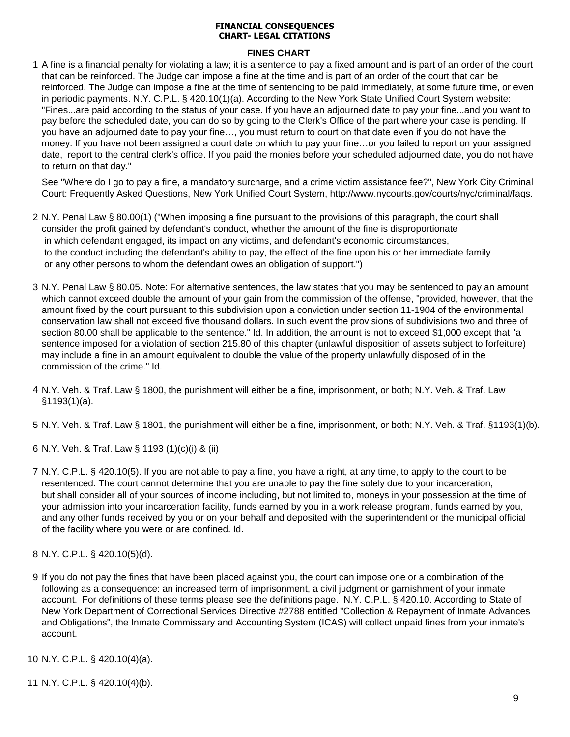#### **FINANCIAL CONSEQUENCES CHART- LEGAL CITATIONS**

## **FINES CHART**

1 A fine is a financial penalty for violating a law; it is a sentence to pay a fixed amount and is part of an order of the court that can be reinforced. The Judge can impose a fine at the time and is part of an order of the court that can be reinforced. The Judge can impose a fine at the time of sentencing to be paid immediately, at some future time, or even in periodic payments. N.Y. C.P.L. § 420.10(1)(a). According to the New York State Unified Court System website: "Fines...are paid according to the status of your case. If you have an adjourned date to pay your fine...and you want to pay before the scheduled date, you can do so by going to the Clerk's Office of the part where your case is pending. If you have an adjourned date to pay your fine…, you must return to court on that date even if you do not have the money. If you have not been assigned a court date on which to pay your fine...or you failed to report on your assigned date, report to the central clerk's office. If you paid the monies before your scheduled adjourned date, you do not have to return on that day."

See "Where do I go to pay a fine, a mandatory surcharge, and a crime victim assistance fee?", New York City Criminal Court: Frequently Asked Questions, New York Unified Court System, http://www.nycourts.gov/courts/nyc/criminal/faqs.

- 2 N.Y. Penal Law § 80.00(1) ("When imposing a fine pursuant to the provisions of this paragraph, the court shall consider the profit gained by defendant's conduct, whether the amount of the fine is disproportionate in which defendant engaged, its impact on any victims, and defendant's economic circumstances, to the conduct including the defendant's ability to pay, the effect of the fine upon his or her immediate family or any other persons to whom the defendant owes an obligation of support.")
- 3 N.Y. Penal Law § 80.05. Note: For alternative sentences, the law states that you may be sentenced to pay an amount which cannot exceed double the amount of your gain from the commission of the offense, "provided, however, that the amount fixed by the court pursuant to this subdivision upon a conviction under section 11-1904 of the environmental conservation law shall not exceed five thousand dollars. In such event the provisions of subdivisions two and three of section 80.00 shall be applicable to the sentence." Id. In addition, the amount is not to exceed \$1,000 except that "a sentence imposed for a violation of section 215.80 of this chapter (unlawful disposition of assets subject to forfeiture) may include a fine in an amount equivalent to double the value of the property unlawfully disposed of in the commission of the crime." Id.
- 4 N.Y. Veh. & Traf. Law § 1800, the punishment will either be a fine, imprisonment, or both; N.Y. Veh. & Traf. Law §1193(1)(a).
- 5 N.Y. Veh. & Traf. Law § 1801, the punishment will either be a fine, imprisonment, or both; N.Y. Veh. & Traf. §1193(1)(b).
- 6 N.Y. Veh. & Traf. Law § 1193 (1)(c)(i) & (ii)
- 7 N.Y. C.P.L. § 420.10(5). If you are not able to pay a fine, you have a right, at any time, to apply to the court to be resentenced. The court cannot determine that you are unable to pay the fine solely due to your incarceration, but shall consider all of your sources of income including, but not limited to, moneys in your possession at the time of your admission into your incarceration facility, funds earned by you in a work release program, funds earned by you, and any other funds received by you or on your behalf and deposited with the superintendent or the municipal official of the facility where you were or are confined. Id.
- 8 N.Y. C.P.L. § 420.10(5)(d).
- 9 If you do not pay the fines that have been placed against you, the court can impose one or a combination of the following as a consequence: an increased term of imprisonment, a civil judgment or garnishment of your inmate account. For definitions of these terms please see the definitions page. N.Y. C.P.L. § 420.10. According to State of New York Department of Correctional Services Directive #2788 entitled "Collection & Repayment of Inmate Advances and Obligations", the Inmate Commissary and Accounting System (ICAS) will collect unpaid fines from your inmate's account.
- 10 N.Y. C.P.L. § 420.10(4)(a).
- 11 N.Y. C.P.L. § 420.10(4)(b).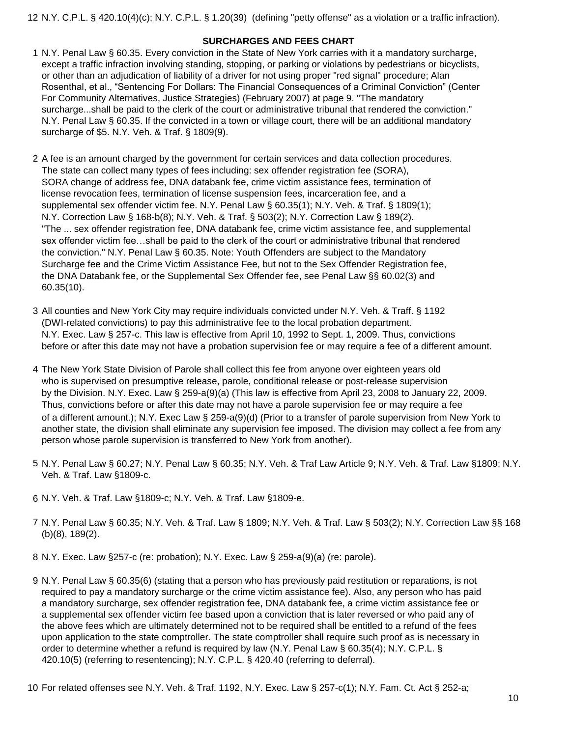12 N.Y. C.P.L. § 420.10(4)(c); N.Y. C.P.L. § 1.20(39) (defining "petty offense" as a violation or a traffic infraction).

## **SURCHARGES AND FEES CHART**

- 1 N.Y. Penal Law § 60.35. Every conviction in the State of New York carries with it a mandatory surcharge, except a traffic infraction involving standing, stopping, or parking or violations by pedestrians or bicyclists, or other than an adjudication of liability of a driver for not using proper "red signal" procedure; Alan Rosenthal, et al., "Sentencing For Dollars: The Financial Consequences of a Criminal Conviction" (Center For Community Alternatives, Justice Strategies) (February 2007) at page 9. "The mandatory surcharge...shall be paid to the clerk of the court or administrative tribunal that rendered the conviction." N.Y. Penal Law § 60.35. If the convicted in a town or village court, there will be an additional mandatory surcharge of \$5. N.Y. Veh. & Traf. § 1809(9).
- 2 A fee is an amount charged by the government for certain services and data collection procedures. The state can collect many types of fees including: sex offender registration fee (SORA), SORA change of address fee, DNA databank fee, crime victim assistance fees, termination of license revocation fees, termination of license suspension fees, incarceration fee, and a supplemental sex offender victim fee. N.Y. Penal Law § 60.35(1); N.Y. Veh. & Traf. § 1809(1); N.Y. Correction Law § 168-b(8); N.Y. Veh. & Traf. § 503(2); N.Y. Correction Law § 189(2). "The ... sex offender registration fee, DNA databank fee, crime victim assistance fee, and supplemental sex offender victim fee…shall be paid to the clerk of the court or administrative tribunal that rendered the conviction." N.Y. Penal Law § 60.35. Note: Youth Offenders are subject to the Mandatory Surcharge fee and the Crime Victim Assistance Fee, but not to the Sex Offender Registration fee, the DNA Databank fee, or the Supplemental Sex Offender fee, see Penal Law §§ 60.02(3) and 60.35(10).
- 3 All counties and New York City may require individuals convicted under N.Y. Veh. & Traff. § 1192 (DWI-related convictions) to pay this administrative fee to the local probation department. N.Y. Exec. Law § 257-c. This law is effective from April 10, 1992 to Sept. 1, 2009. Thus, convictions before or after this date may not have a probation supervision fee or may require a fee of a different amount.
- 4 The New York State Division of Parole shall collect this fee from anyone over eighteen years old who is supervised on presumptive release, parole, conditional release or post-release supervision by the Division. N.Y. Exec. Law § 259-a(9)(a) (This law is effective from April 23, 2008 to January 22, 2009. Thus, convictions before or after this date may not have a parole supervision fee or may require a fee of a different amount.); N.Y. Exec Law § 259-a(9)(d) (Prior to a transfer of parole supervision from New York to another state, the division shall eliminate any supervision fee imposed. The division may collect a fee from any person whose parole supervision is transferred to New York from another).
- 5 N.Y. Penal Law § 60.27; N.Y. Penal Law § 60.35; N.Y. Veh. & Traf Law Article 9; N.Y. Veh. & Traf. Law §1809; N.Y. Veh. & Traf. Law §1809-c.
- 6 N.Y. Veh. & Traf. Law §1809-c; N.Y. Veh. & Traf. Law §1809-e.
- 7 N.Y. Penal Law § 60.35; N.Y. Veh. & Traf. Law § 1809; N.Y. Veh. & Traf. Law § 503(2); N.Y. Correction Law §§ 168 (b)(8), 189(2).
- 8 N.Y. Exec. Law §257-c (re: probation); N.Y. Exec. Law § 259-a(9)(a) (re: parole).
- 9 N.Y. Penal Law § 60.35(6) (stating that a person who has previously paid restitution or reparations, is not required to pay a mandatory surcharge or the crime victim assistance fee). Also, any person who has paid a mandatory surcharge, sex offender registration fee, DNA databank fee, a crime victim assistance fee or a supplemental sex offender victim fee based upon a conviction that is later reversed or who paid any of the above fees which are ultimately determined not to be required shall be entitled to a refund of the fees upon application to the state comptroller. The state comptroller shall require such proof as is necessary in order to determine whether a refund is required by law (N.Y. Penal Law § 60.35(4); N.Y. C.P.L. § 420.10(5) (referring to resentencing); N.Y. C.P.L. § 420.40 (referring to deferral).
- 10 For related offenses see N.Y. Veh. & Traf. 1192, N.Y. Exec. Law § 257-c(1); N.Y. Fam. Ct. Act § 252-a;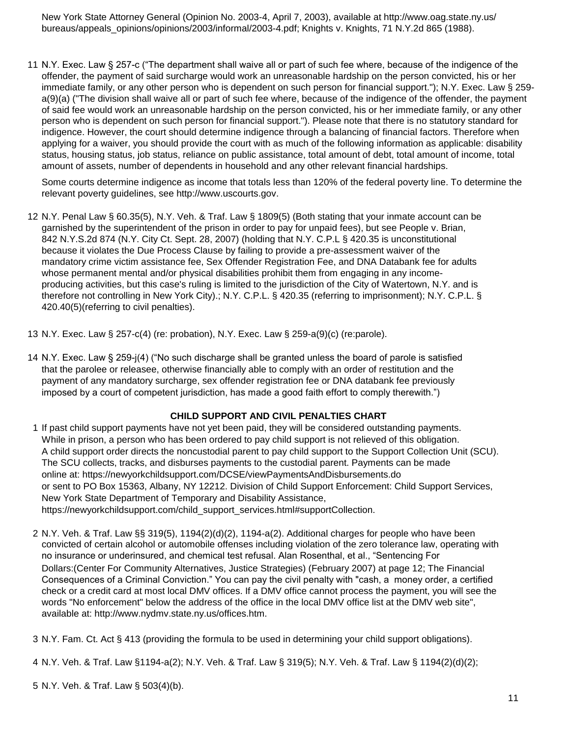New York State Attorney General (Opinion No. 2003-4, April 7, 2003), available at http://www.oag.state.ny.us/ bureaus/appeals\_opinions/opinions/2003/informal/2003-4.pdf; Knights v. Knights, 71 N.Y.2d 865 (1988).

11 N.Y. Exec. Law § 257-c ("The department shall waive all or part of such fee where, because of the indigence of the offender, the payment of said surcharge would work an unreasonable hardship on the person convicted, his or her immediate family, or any other person who is dependent on such person for financial support."); N.Y. Exec. Law § 259 a(9)(a) ("The division shall waive all or part of such fee where, because of the indigence of the offender, the payment of said fee would work an unreasonable hardship on the person convicted, his or her immediate family, or any other person who is dependent on such person for financial support."). Please note that there is no statutory standard for indigence. However, the court should determine indigence through a balancing of financial factors. Therefore when applying for a waiver, you should provide the court with as much of the following information as applicable: disability status, housing status, job status, reliance on public assistance, total amount of debt, total amount of income, total amount of assets, number of dependents in household and any other relevant financial hardships.

Some courts determine indigence as income that totals less than 120% of the federal poverty line. To determine the relevant poverty guidelines, see http://www.uscourts.gov.

12 N.Y. Penal Law § 60.35(5), N.Y. Veh. & Traf. Law § 1809(5) (Both stating that your inmate account can be garnished by the superintendent of the prison in order to pay for unpaid fees), but see People v. Brian, 842 N.Y.S.2d 874 (N.Y. City Ct. Sept. 28, 2007) (holding that N.Y. C.P.L § 420.35 is unconstitutional because it violates the Due Process Clause by failing to provide a pre-assessment waiver of the mandatory crime victim assistance fee, Sex Offender Registration Fee, and DNA Databank fee for adults whose permanent mental and/or physical disabilities prohibit them from engaging in any incomeproducing activities, but this case's ruling is limited to the jurisdiction of the City of Watertown, N.Y. and is therefore not controlling in New York City).; N.Y. C.P.L. § 420.35 (referring to imprisonment); N.Y. C.P.L. § 420.40(5)(referring to civil penalties).

13 N.Y. Exec. Law § 257-c(4) (re: probation), N.Y. Exec. Law § 259-a(9)(c) (re:parole).

14 N.Y. Exec. Law § 259-j(4) ("No such discharge shall be granted unless the board of parole is satisfied that the parolee or releasee, otherwise financially able to comply with an order of restitution and the payment of any mandatory surcharge, sex offender registration fee or DNA databank fee previously imposed by a court of competent jurisdiction, has made a good faith effort to comply therewith.")

## **CHILD SUPPORT AND CIVIL PENALTIES CHART**

- 1 If past child support payments have not yet been paid, they will be considered outstanding payments. While in prison, a person who has been ordered to pay child support is not relieved of this obligation. A child support order directs the noncustodial parent to pay child support to the Support Collection Unit (SCU). The SCU collects, tracks, and disburses payments to the custodial parent. Payments can be made online at: https://newyorkchildsupport.com/DCSE/viewPaymentsAndDisbursements.do or sent to PO Box 15363, Albany, NY 12212. Division of Child Support Enforcement: Child Support Services, New York State Department of Temporary and Disability Assistance, [https://newyorkchildsupport.com/child\\_support\\_services.html#supportCollection.](https://newyorkchildsupport.com/child_support_services.html)
- 2 N.Y. Veh. & Traf. Law §§ 319(5), 1194(2)(d)(2), 1194-a(2). Additional charges for people who have been convicted of certain alcohol or automobile offenses including violation of the zero tolerance law, operating with no insurance or underinsured, and chemical test refusal. Alan Rosenthal, et al., "Sentencing For Dollars:(Center For Community Alternatives, Justice Strategies) (February 2007) at page 12; The Financial Consequences of a Criminal Conviction." You can pay the civil penalty with "cash, a money order, a certified check or a credit card at most local DMV offices. If a DMV office cannot process the payment, you will see the words "No enforcement" below the address of the office in the local DMV office list at the DMV web site", available at: http://www.nydmv.state.ny.us/offices.htm.

3 N.Y. Fam. Ct. Act § 413 (providing the formula to be used in determining your child support obligations).

4 N.Y. Veh. & Traf. Law §1194-a(2); N.Y. Veh. & Traf. Law § 319(5); N.Y. Veh. & Traf. Law § 1194(2)(d)(2);

5 N.Y. Veh. & Traf. Law § 503(4)(b).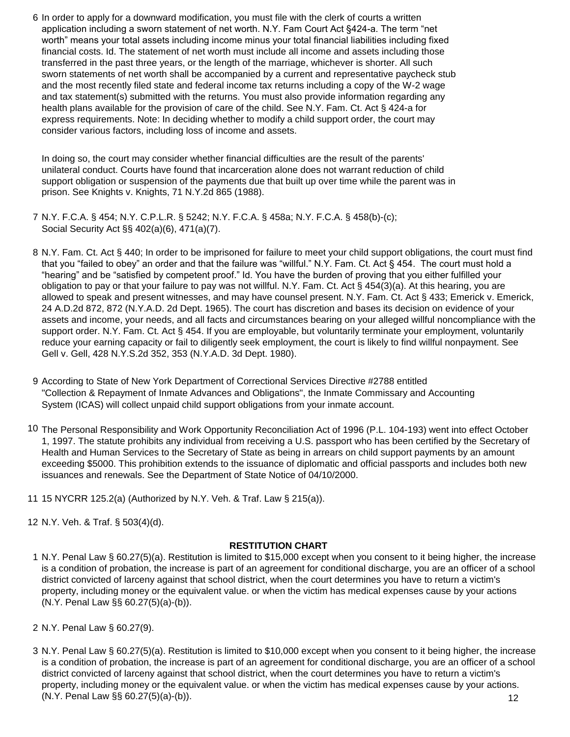6 In order to apply for a downward modification, you must file with the clerk of courts a written application including a sworn statement of net worth. N.Y. Fam Court Act §424-a. The term "net worth" means your total assets including income minus your total financial liabilities including fixed financial costs. Id. The statement of net worth must include all income and assets including those transferred in the past three years, or the length of the marriage, whichever is shorter. All such sworn statements of net worth shall be accompanied by a current and representative paycheck stub and the most recently filed state and federal income tax returns including a copy of the W-2 wage and tax statement(s) submitted with the returns. You must also provide information regarding any health plans available for the provision of care of the child. See N.Y. Fam. Ct. Act § 424-a for express requirements. Note: In deciding whether to modify a child support order, the court may consider various factors, including loss of income and assets.

In doing so, the court may consider whether financial difficulties are the result of the parents' unilateral conduct. Courts have found that incarceration alone does not warrant reduction of child support obligation or suspension of the payments due that built up over time while the parent was in prison. See Knights v. Knights, 71 N.Y.2d 865 (1988).

- 7 N.Y. F.C.A. § 454; N.Y. C.P.L.R. § 5242; N.Y. F.C.A. § 458a; N.Y. F.C.A. § 458(b)-(c); Social Security Act §§ 402(a)(6), 471(a)(7).
- 8 N.Y. Fam. Ct. Act § 440; In order to be imprisoned for failure to meet your child support obligations, the court must find that you "failed to obey" an order and that the failure was "willful." N.Y. Fam. Ct. Act § 454. The court must hold a "hearing" and be "satisfied by competent proof." Id. You have the burden of proving that you either fulfilled your obligation to pay or that your failure to pay was not willful. N.Y. Fam. Ct. Act § 454(3)(a). At this hearing, you are allowed to speak and present witnesses, and may have counsel present. N.Y. Fam. Ct. Act § 433; Emerick v. Emerick, 24 A.D.2d 872, 872 (N.Y.A.D. 2d Dept. 1965). The court has discretion and bases its decision on evidence of your assets and income, your needs, and all facts and circumstances bearing on your alleged willful noncompliance with the support order. N.Y. Fam. Ct. Act § 454. If you are employable, but voluntarily terminate your employment, voluntarily reduce your earning capacity or fail to diligently seek employment, the court is likely to find willful nonpayment. See Gell v. Gell, 428 N.Y.S.2d 352, 353 (N.Y.A.D. 3d Dept. 1980).
- 9 According to State of New York Department of Correctional Services Directive #2788 entitled "Collection & Repayment of Inmate Advances and Obligations", the Inmate Commissary and Accounting System (ICAS) will collect unpaid child support obligations from your inmate account.
- 10 The Personal Responsibility and Work Opportunity Reconciliation Act of 1996 (P.L. 104-193) went into effect October 1, 1997. The statute prohibits any individual from receiving a U.S. passport who has been certified by the Secretary of Health and Human Services to the Secretary of State as being in arrears on child support payments by an amount exceeding \$5000. This prohibition extends to the issuance of diplomatic and official passports and includes both new issuances and renewals. See the Department of State Notice of 04/10/2000.
- 11 15 NYCRR 125.2(a) (Authorized by N.Y. Veh. & Traf. Law § 215(a)).

12 N.Y. Veh. & Traf. § 503(4)(d).

## **RESTITUTION CHART**

- 1 N.Y. Penal Law § 60.27(5)(a). Restitution is limited to \$15,000 except when you consent to it being higher, the increase is a condition of probation, the increase is part of an agreement for conditional discharge, you are an officer of a school district convicted of larceny against that school district, when the court determines you have to return a victim's property, including money or the equivalent value. or when the victim has medical expenses cause by your actions (N.Y. Penal Law §§ 60.27(5)(a)-(b)).
- 2 N.Y. Penal Law § 60.27(9).
- 3 N.Y. Penal Law § 60.27(5)(a). Restitution is limited to \$10,000 except when you consent to it being higher, the increase is a condition of probation, the increase is part of an agreement for conditional discharge, you are an officer of a school district convicted of larceny against that school district, when the court determines you have to return a victim's property, including money or the equivalent value. or when the victim has medical expenses cause by your actions. (N.Y. Penal Law §§ 60.27(5)(a)-(b)). 12